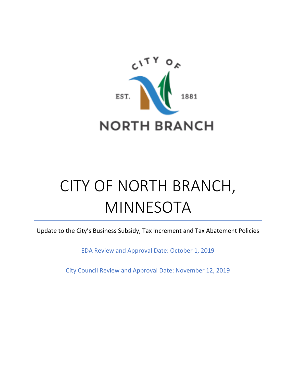

# CITY OF NORTH BRANCH, MINNESOTA

Update to the City's Business Subsidy, Tax Increment and Tax Abatement Policies

EDA Review and Approval Date: October 1, 2019

City Council Review and Approval Date: November 12, 2019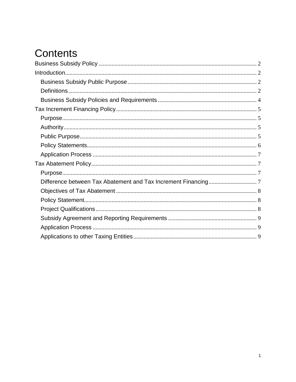# **Contents**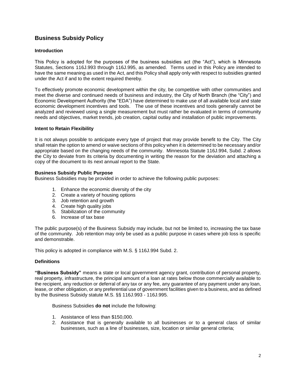# <span id="page-2-0"></span>**Business Subsidy Policy**

#### <span id="page-2-1"></span>**Introduction**

This Policy is adopted for the purposes of the business subsidies act (the "Act"), which is Minnesota Statutes, Sections 116J.993 through 116J.995, as amended. Terms used in this Policy are intended to have the same meaning as used in the Act, and this Policy shall apply only with respect to subsidies granted under the Act if and to the extent required thereby.

To effectively promote economic development within the city, be competitive with other communities and meet the diverse and continued needs of business and industry, the City of North Branch (the "City") and Economic Development Authority (the "EDA") have determined to make use of all available local and state economic development incentives and tools. The use of these incentives and tools generally cannot be analyzed and reviewed using a single measurement but must rather be evaluated in terms of community needs and objectives, market trends, job creation, capital outlay and installation of public improvements.

#### **Intent to Retain Flexibility**

It is not always possible to anticipate every type of project that may provide benefit to the City. The City shall retain the option to amend or waive sections of this policy when it is determined to be necessary and/or appropriate based on the changing needs of the community. Minnesota Statute 116J.994, Subd. 2 allows the City to deviate from its criteria by documenting in writing the reason for the deviation and attaching a copy of the document to its next annual report to the State.

#### <span id="page-2-2"></span>**Business Subsidy Public Purpose**

Business Subsidies may be provided in order to achieve the following public purposes:

- 1. Enhance the economic diversity of the city
- 2. Create a variety of housing options
- 3. Job retention and growth
- 4. Create high quality jobs
- 5. Stabilization of the community
- 6. Increase of tax base

The public purpose(s) of the Business Subsidy may include, but not be limited to, increasing the tax base of the community. Job retention may only be used as a public purpose in cases where job loss is specific and demonstrable.

This policy is adopted in compliance with M.S. § 116J.994 Subd. 2.

#### <span id="page-2-3"></span>**Definitions**

**"Business Subsidy"** means a state or local government agency grant, contribution of personal property, real property, infrastructure, the principal amount of a loan at rates below those commercially available to the recipient, any reduction or deferral of any tax or any fee, any guarantee of any payment under any loan, lease, or other obligation, or any preferential use of government facilities given to a business, and as defined by the Business Subsidy statute M.S. §§ 116J.993 - 116J.995.

Business Subsidies **do not** include the following:

- 1. Assistance of less than \$150,000.
- 2. Assistance that is generally available to all businesses or to a general class of similar businesses, such as a line of businesses, size, location or similar general criteria;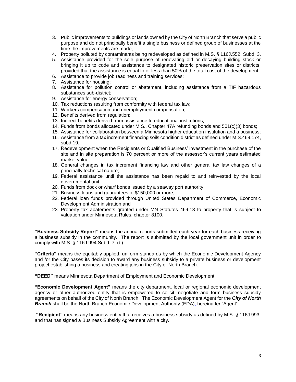- 3. Public improvements to buildings or lands owned by the City of North Branch that serve a public purpose and do not principally benefit a single business or defined group of businesses at the time the improvements are made;
- 4. Property polluted by contaminants being redeveloped as defined in M.S. § 116J.552, Subd. 3.
- 5. Assistance provided for the sole purpose of renovating old or decaying building stock or bringing it up to code and assistance to designated historic preservation sites or districts, provided that the assistance is equal to or less than 50% of the total cost of the development;
- 6. Assistance to provide job readiness and training services;
- 7. Assistance for housing;
- 8. Assistance for pollution control or abatement, including assistance from a TIF hazardous substances sub-district;
- 9. Assistance for energy conservation;
- 10. Tax reductions resulting from conformity with federal tax law;
- 11. Workers compensation and unemployment compensation;
- 12. Benefits derived from regulation;
- 13. Indirect benefits derived from assistance to educational institutions;
- 14. Funds from bonds allocated under M.S., Chapter 47A refunding bonds and 501(c)(3) bonds;
- 15. Assistance for collaboration between a Minnesota higher education institution and a business;
- 16. Assistance from a tax increment financing soils condition district as defined under M.S.469.174, subd.19;
- 17. Redevelopment when the Recipients or Qualified Business' investment in the purchase of the site and in site preparation is 70 percent or more of the assessor's current years estimated market value;
- 18. General changes in tax increment financing law and other general tax law changes of a principally technical nature;
- 19. Federal assistance until the assistance has been repaid to and reinvested by the local governmental unit;
- 20. Funds from dock or wharf bonds issued by a seaway port authority;
- 21. Business loans and guarantees of \$150,000 or more,
- 22. Federal loan funds provided through United States Department of Commerce, Economic Development Administration and
- 23. Property tax abatements granted under MN Statutes 469.18 to property that is subject to valuation under Minnesota Rules, chapter 8100.

**"Business Subsidy Report"** means the annual reports submitted each year for each business receiving a business subsidy in the community. The report is submitted by the local government unit in order to comply with M.S. § 116J.994 Subd. 7. (b).

**"Criteria"** means the equitably applied, uniform standards by which the Economic Development Agency and /or the City bases its decision to award any business subsidy to a private business or development project establishing a business and creating jobs in the City of North Branch.

**"DEED"** means Minnesota Department of Employment and Economic Development.

**"Economic Development Agent"** means the city department, local or regional economic development agency or other authorized entity that is empowered to solicit, negotiate and form business subsidy agreements on behalf of the City of North Branch. The Economic Development Agent for the *City of North Branch* shall be the North Branch Economic Development Authority (EDA), hereinafter "Agent".

<span id="page-3-0"></span>**"Recipient"** means any business entity that receives a business subsidy as defined by M.S. § 116J.993, and that has signed a Business Subsidy Agreement with a city.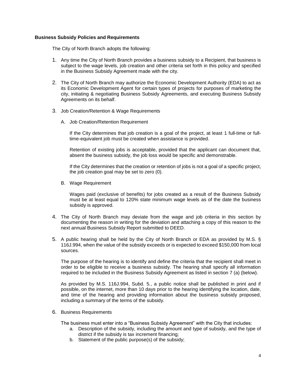#### **Business Subsidy Policies and Requirements**

The City of North Branch adopts the following:

- 1. Any time the City of North Branch provides a business subsidy to a Recipient, that business is subject to the wage levels, job creation and other criteria set forth in this policy and specified in the Business Subsidy Agreement made with the city.
- 2. The City of North Branch may authorize the Economic Development Authority (EDA) to act as its Economic Development Agent for certain types of projects for purposes of marketing the city, initiating & negotiating Business Subsidy Agreements, and executing Business Subsidy Agreements on its behalf.
- 3. Job Creation/Retention & Wage Requirements
	- A. Job Creation/Retention Requirement

If the City determines that job creation is a goal of the project, at least 1 full-time or fulltime-equivalent job must be created when assistance is provided.

Retention of existing jobs is acceptable, provided that the applicant can document that, absent the business subsidy, the job loss would be specific and demonstrable.

If the City determines that the creation or retention of jobs is not a goal of a specific project, the job creation goal may be set to zero (0).

B. Wage Requirement

Wages paid (exclusive of benefits) for jobs created as a result of the Business Subsidy must be at least equal to 120% state minimum wage levels as of the date the business subsidy is approved.

- 4. The City of North Branch may deviate from the wage and job criteria in this section by documenting the reason in writing for the deviation and attaching a copy of this reason to the next annual Business Subsidy Report submitted to DEED.
- 5. A public hearing shall be held by the City of North Branch or EDA as provided by M.S. § 116J.994, when the value of the subsidy exceeds or is expected to exceed \$150,000 from local sources.

The purpose of the hearing is to identify and define the criteria that the recipient shall meet in order to be eligible to receive a business subsidy. The hearing shall specify all information required to be included in the Business Subsidy Agreement as listed in section 7 (a) (below).

As provided by M.S. 116J.994, Subd. 5., a public notice shall be published in print and if possible, on the internet, more than 10 days prior to the hearing identifying the location, date, and time of the hearing and providing information about the business subsidy proposed, including a summary of the terms of the subsidy.

6. Business Requirements

The business must enter into a "Business Subsidy Agreement" with the City that includes:

- a. Description of the subsidy, including the amount and type of subsidy, and the type of district if the subsidy is tax increment financing;
- b. Statement of the public purpose(s) of the subsidy;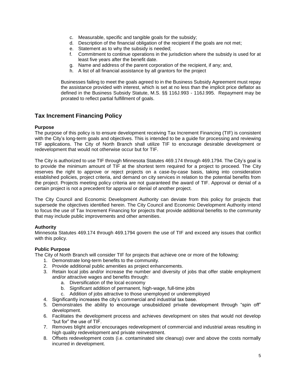- c. Measurable, specific and tangible goals for the subsidy;
- d. Description of the financial obligation of the recipient if the goals are not met;
- e. Statement as to why the subsidy is needed;
- f. Commitment to continue operations in the jurisdiction where the subsidy is used for at least five years after the benefit date.
- g. Name and address of the parent corporation of the recipient, if any; and,
- h. A list of all financial assistance by all grantors for the project

Businesses failing to meet the goals agreed to in the Business Subsidy Agreement must repay the assistance provided with interest, which is set at no less than the implicit price deflator as defined in the Business Subsidy Statute, M.S. §§ 116J.993 - 116J.995. Repayment may be prorated to reflect partial fulfillment of goals.

### <span id="page-5-0"></span>**Tax Increment Financing Policy**

#### <span id="page-5-1"></span>**Purpose**

The purpose of this policy is to ensure development receiving Tax Increment Financing (TIF) is consistent with the City's long-term goals and objectives. This is intended to be a guide for processing and reviewing TIF applications. The City of North Branch shall utilize TIF to encourage desirable development or redevelopment that would not otherwise occur but for TIF.

The City is authorized to use TIF through Minnesota Statutes 469.174 through 469.1794. The City's goal is to provide the minimum amount of TIF at the shortest term required for a project to proceed. The City reserves the right to approve or reject projects on a case-by-case basis, taking into consideration established policies, project criteria, and demand on city services in relation to the potential benefits from the project. Projects meeting policy criteria are not guaranteed the award of TIF. Approval or denial of a certain project is not a precedent for approval or denial of another project.

The City Council and Economic Development Authority can deviate from this policy for projects that supersede the objectives identified herein. The City Council and Economic Development Authority intend to focus the use of Tax Increment Financing for projects that provide additional benefits to the community that may include public improvements and other amenities.

#### <span id="page-5-2"></span>**Authority**

Minnesota Statutes 469.174 through 469.1794 govern the use of TIF and exceed any issues that conflict with this policy.

#### <span id="page-5-3"></span>**Public Purpose**

The City of North Branch will consider TIF for projects that achieve one or more of the following:

- 1. Demonstrate long-term benefits to the community.
- 2. Provide additional public amenities as project enhancements.
- 3. Retain local jobs and/or increase the number and diversity of jobs that offer stable employment and/or attractive wages and benefits through:
	- a. Diversification of the local economy
	- b. Significant addition of permanent, high-wage, full-time jobs
	- c. Addition of jobs attractive to those unemployed or underemployed
- 4. Significantly increases the city's commercial and industrial tax base.
- 5. Demonstrates the ability to encourage unsubsidized private development through "spin off" development.
- 6. Facilitates the development process and achieves development on sites that would not develop "but for" the use of TIF.
- 7. Removes blight and/or encourages redevelopment of commercial and industrial areas resulting in high quality redevelopment and private reinvestment.
- 8. Offsets redevelopment costs (i.e. contaminated site cleanup) over and above the costs normally incurred in development.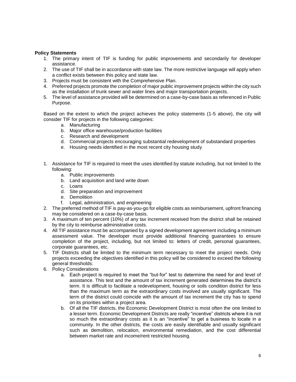#### <span id="page-6-0"></span>**Policy Statements**

- 1. The primary intent of TIF is funding for public improvements and secondarily for developer assistance.
- 2. The use of TIF shall be in accordance with state law. The more restrictive language will apply when a conflict exists between this policy and state law.
- 3. Projects must be consistent with the Comprehensive Plan.
- 4. Preferred projects promote the completion of major public improvement projects within the city such as the installation of trunk sewer and water lines and major transportation projects.
- 5. The level of assistance provided will be determined on a case-by-case basis as referenced in Public Purpose.

Based on the extent to which the project achieves the policy statements (1-5 above), the city will consider TIF for projects in the following categories:

- a. Manufacturing
- b. Major office warehouse/production facilities
- c. Research and development
- d. Commercial projects encouraging substantial redevelopment of substandard properties
- e. Housing needs identified in the most recent city housing study
- 1. Assistance for TIF is required to meet the uses identified by statute including, but not limited to the following:
	- a. Public improvements
	- b. Land acquisition and land write down
	- c. Loans
	- d. Site preparation and improvement
	- e. Demolition
	- f. Legal, administration, and engineering
- 2. The preferred method of TIF is pay-as-you-go for eligible costs as reimbursement, upfront financing may be considered on a case-by-case basis.
- 3. A maximum of ten percent (10%) of any tax increment received from the district shall be retained by the city to reimburse administrative costs.
- 4. All TIF assistance must be accompanied by a signed development agreement including a minimum assessment value. The developer must provide additional financing guarantees to ensure completion of the project, including, but not limited to: letters of credit, personal guarantees, corporate guarantees, etc.
- 5. TIF Districts shall be limited to the minimum term necessary to meet the project needs. Only projects exceeding the objectives identified in this policy will be considered to exceed the following general thresholds:
- 6. Policy Considerations
	- a. Each project is required to meet the "but-for" test to determine the need for and level of assistance. This test and the amount of tax increment generated determines the district's term. It is difficult to facilitate a redevelopment, housing or soils condition district for less than the maximum term as the extraordinary costs involved are usually significant. The term of the district could coincide with the amount of tax increment the city has to spend on its priorities within a project area.
	- b. Of all the TIF districts, the Economic Development District is most often the one limited to a lesser term. Economic Development Districts are really "incentive" districts where it is not so much the extraordinary costs as it is an "incentive" to get a business to locate in a community. In the other districts, the costs are easily identifiable and usually significant such as demolition, relocation, environmental remediation, and the cost differential between market rate and income/rent restricted housing.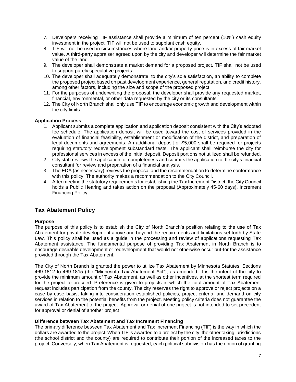- 7. Developers receiving TIF assistance shall provide a minimum of ten percent (10%) cash equity investment in the project. TIF will not be used to supplant cash equity.
- 8. TIF will not be used in circumstances where land and/or property price is in excess of fair market value. A third-party appraiser agreed upon by the city and developer will determine the fair market value of the land.
- 9. The developer shall demonstrate a market demand for a proposed project. TIF shall not be used to support purely speculative projects.
- 10. The developer shall adequately demonstrate, to the city's sole satisfaction, an ability to complete the proposed project based on past development experience, general reputation, and credit history, among other factors, including the size and scope of the proposed project.
- 11. For the purposes of underwriting the proposal, the developer shall provide any requested market, financial, environmental, or other data requested by the city or its consultants.
- 12. The City of North Branch shall only use TIF to encourage economic growth and development within the city limits.

#### <span id="page-7-0"></span>**Application Process**

- 1. Applicant submits a complete application and application deposit consistent with the City's adopted fee schedule. The application deposit will be used toward the cost of services provided in the evaluation of financial feasibility, establishment or modification of the district, and preparation of legal documents and agreements. An additional deposit of \$5,000 shall be required for projects requiring statutory redevelopment substandard tests. The applicant shall reimburse the city for professional services in excess of the initial deposit. Deposit portions not utilized shall be refunded.
- 2. City staff reviews the application for completeness and submits the application to the city's financial consultant for review and preparation of a financial analysis.
- 3. The EDA (as necessary) reviews the proposal and the recommendation to determine conformance with this policy. The authority makes a recommendation to the City Council.
- 4. After meeting the statutory requirements for establishing the Tax Increment District, the City Council holds a Public Hearing and takes action on the proposal (Approximately 45-60 days). Increment Financing Policy

## <span id="page-7-1"></span>**Tax Abatement Policy**

#### <span id="page-7-2"></span>**Purpose**

The purpose of this policy is to establish the City of North Branch's position relating to the use of Tax Abatement for private development above and beyond the requirements and limitations set forth by State Law. This policy shall be used as a guide in the processing and review of applications requesting Tax Abatement assistance. The fundamental purpose of providing Tax Abatement in North Branch is to encourage desirable development or redevelopment that would not otherwise occur but-for the assistance provided through the Tax Abatement.

The City of North Branch is granted the power to utilize Tax Abatement by Minnesota Statutes, Sections 469.1812 to 469.1815 (the "Minnesota Tax Abatement Act"), as amended. It is the intent of the city to provide the minimum amount of Tax Abatement, as well as other incentives, at the shortest term required for the project to proceed. Preference is given to projects in which the total amount of Tax Abatement request includes participation from the county. The city reserves the right to approve or reject projects on a case by case basis, taking into consideration established policies, project criteria, and demand on city services in relation to the potential benefits from the project. Meeting policy criteria does not guarantee the award of Tax Abatement to the project. Approval or denial of one project is not intended to set precedent for approval or denial of another project

#### <span id="page-7-3"></span>**Difference between Tax Abatement and Tax Increment Financing**

The primary difference between Tax Abatement and Tax Increment Financing (TIF) is the way in which the dollars are awarded to the project. When TIF is awarded to a project by the city, the other taxing jurisdictions (the school district and the county) are required to contribute their portion of the increased taxes to the project. Conversely, when Tax Abatement is requested, each political subdivision has the option of granting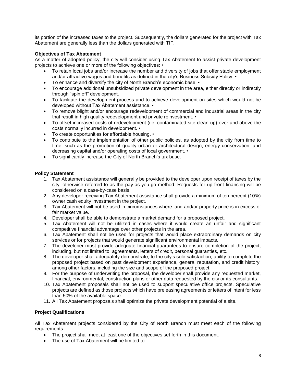its portion of the increased taxes to the project. Subsequently, the dollars generated for the project with Tax Abatement are generally less than the dollars generated with TIF.

#### <span id="page-8-0"></span>**Objectives of Tax Abatement**

As a matter of adopted policy, the city will consider using Tax Abatement to assist private development projects to achieve one or more of the following objectives: •

- To retain local jobs and/or increase the number and diversity of jobs that offer stable employment and/or attractive wages and benefits as defined in the city's Business Subsidy Policy. •
- To enhance and diversify the city of North Branch's economic base. •
- To encourage additional unsubsidized private development in the area, either directly or indirectly through "spin off" development.
- To facilitate the development process and to achieve development on sites which would not be developed without Tax Abatement assistance. •
- To remove blight and/or encourage redevelopment of commercial and industrial areas in the city that result in high quality redevelopment and private reinvestment. •
- To offset increased costs of redevelopment (i.e. contaminated site clean-up) over and above the costs normally incurred in development. •
- To create opportunities for affordable housing. •
- To contribute to the implementation of other public policies, as adopted by the city from time to time, such as the promotion of quality urban or architectural design, energy conservation, and decreasing capital and/or operating costs of local government. •
- To significantly increase the City of North Branch's tax base.

#### <span id="page-8-1"></span>**Policy Statement**

- 1. Tax Abatement assistance will generally be provided to the developer upon receipt of taxes by the city, otherwise referred to as the pay-as-you-go method. Requests for up front financing will be considered on a case-by-case basis.
- 2. Any developer receiving Tax Abatement assistance shall provide a minimum of ten percent (10%) owner cash equity investment in the project.
- 3. Tax Abatement will not be used in circumstances where land and/or property price is in excess of fair market value.
- 4. Developer shall be able to demonstrate a market demand for a proposed project.
- 5. Tax Abatement will not be utilized in cases where it would create an unfair and significant competitive financial advantage over other projects in the area.
- 6. Tax Abatement shall not be used for projects that would place extraordinary demands on city services or for projects that would generate significant environmental impacts.
- 7. The developer must provide adequate financial guarantees to ensure completion of the project, including, but not limited to: agreements, letters of credit, personal guaranties, etc.
- 8. The developer shall adequately demonstrate, to the city's sole satisfaction, ability to complete the proposed project based on past development experience, general reputation, and credit history, among other factors, including the size and scope of the proposed project.
- 9. For the purpose of underwriting the proposal, the developer shall provide any requested market, financial, environmental, construction plans or other data requested by the city or its consultants.
- 10. Tax Abatement proposals shall not be used to support speculative office projects. Speculative projects are defined as those projects which have preleasing agreements or letters of intent for less than 50% of the available space.
- 11. All Tax Abatement proposals shall optimize the private development potential of a site.

#### <span id="page-8-2"></span>**Project Qualifications**

All Tax Abatement projects considered by the City of North Branch must meet each of the following requirements:

- The project shall meet at least one of the objectives set forth in this document.
- The use of Tax Abatement will be limited to: